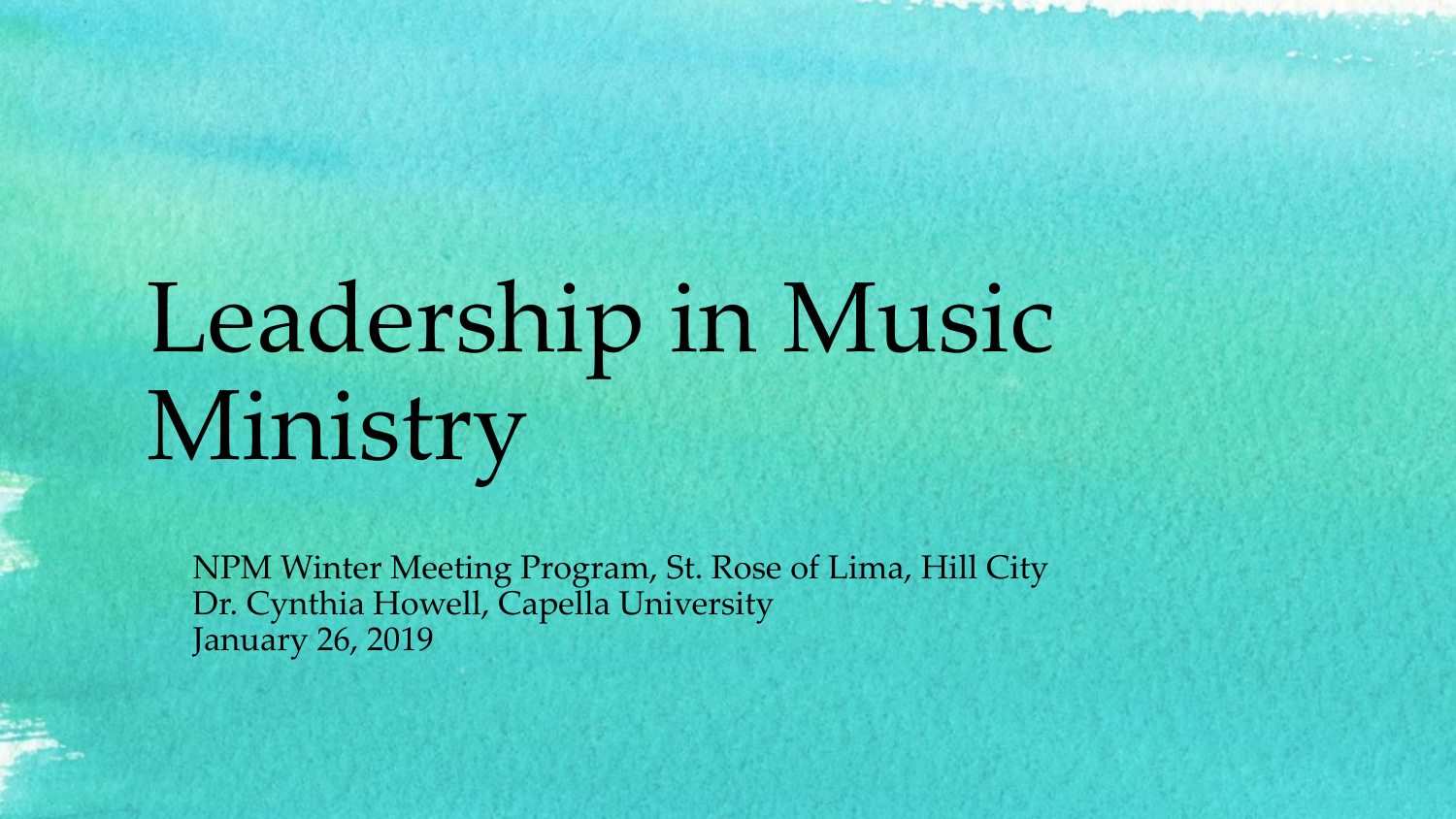# Leadership in Music Ministry

NPM Winter Meeting Program, St. Rose of Lima, Hill City Dr. Cynthia Howell, Capella University January 26, 2019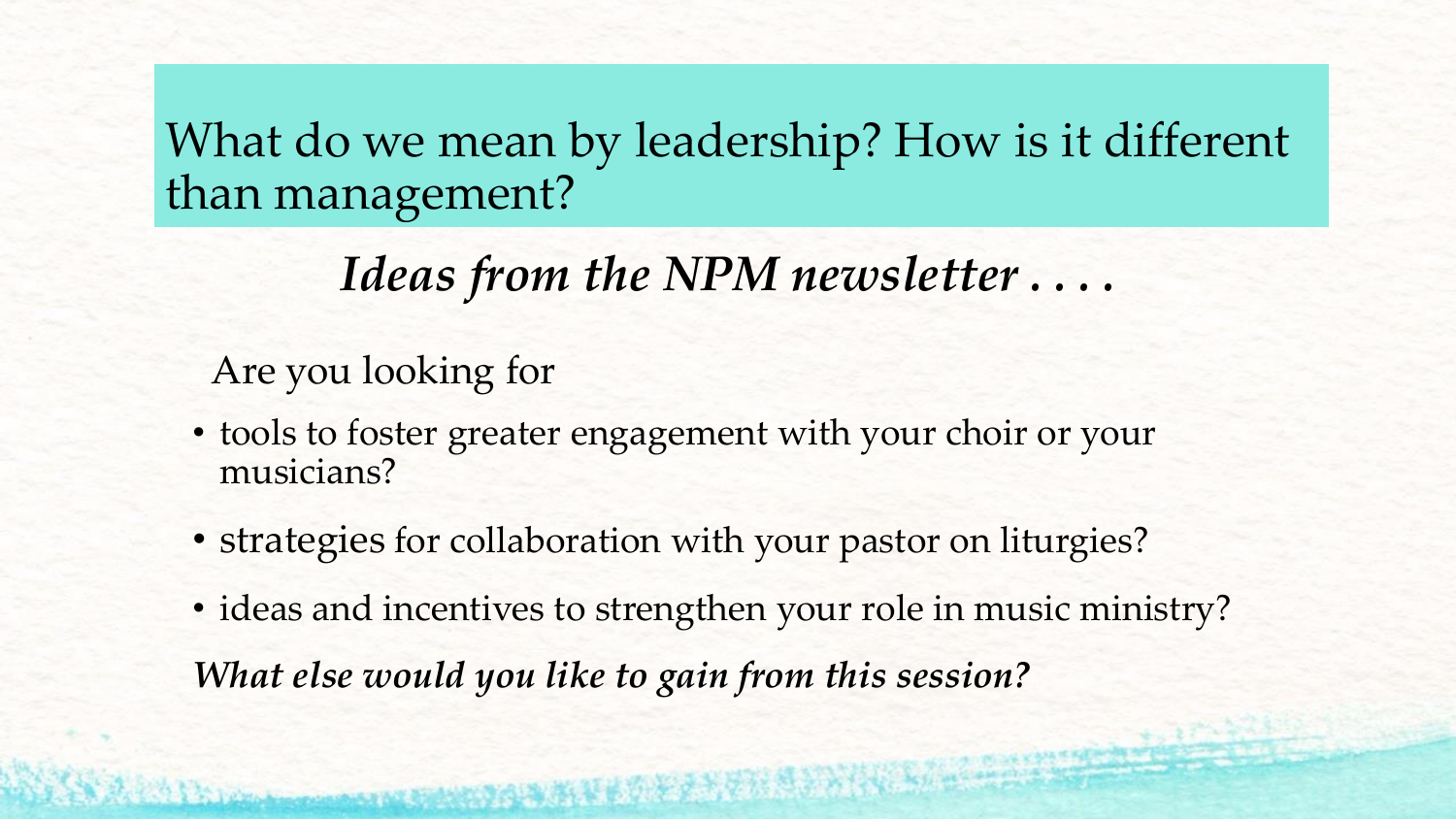#### What do we mean by leadership? How is it different than management?

## *Ideas from the NPM newsletter . . . .*

#### Are you looking for

- tools to foster greater engagement with your choir or your musicians?
- strategies for collaboration with your pastor on liturgies?
- ideas and incentives to strengthen your role in music ministry? *What else would you like to gain from this session?*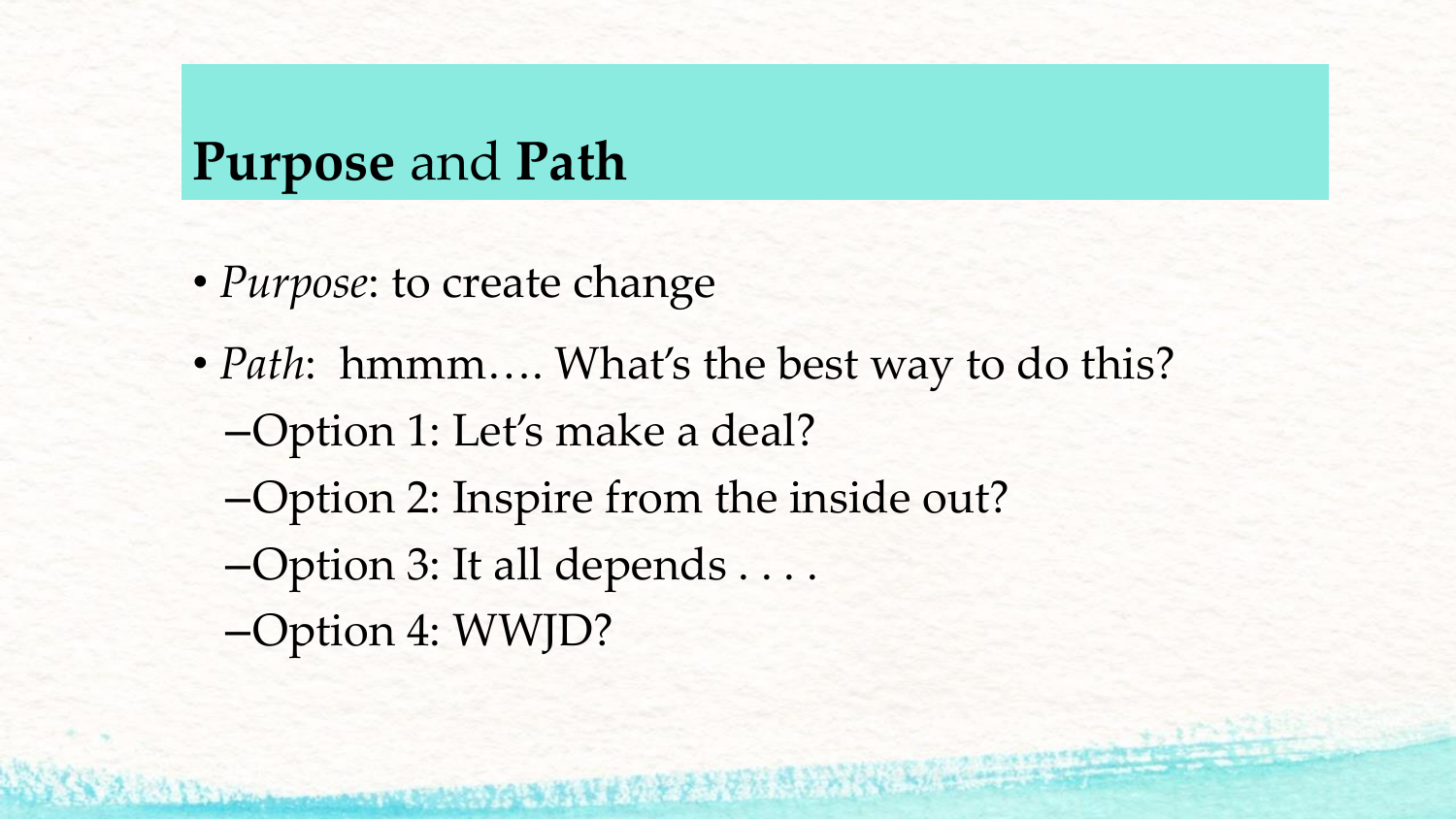## **Purpose** and **Path**

- *Purpose*: to create change
- *Path*: hmmm.... What's the best way to do this? –Option 1: Let's make a deal? –Option 2: Inspire from the inside out?
	- –Option 3: It all depends . . . .
	- –Option 4: WWJD?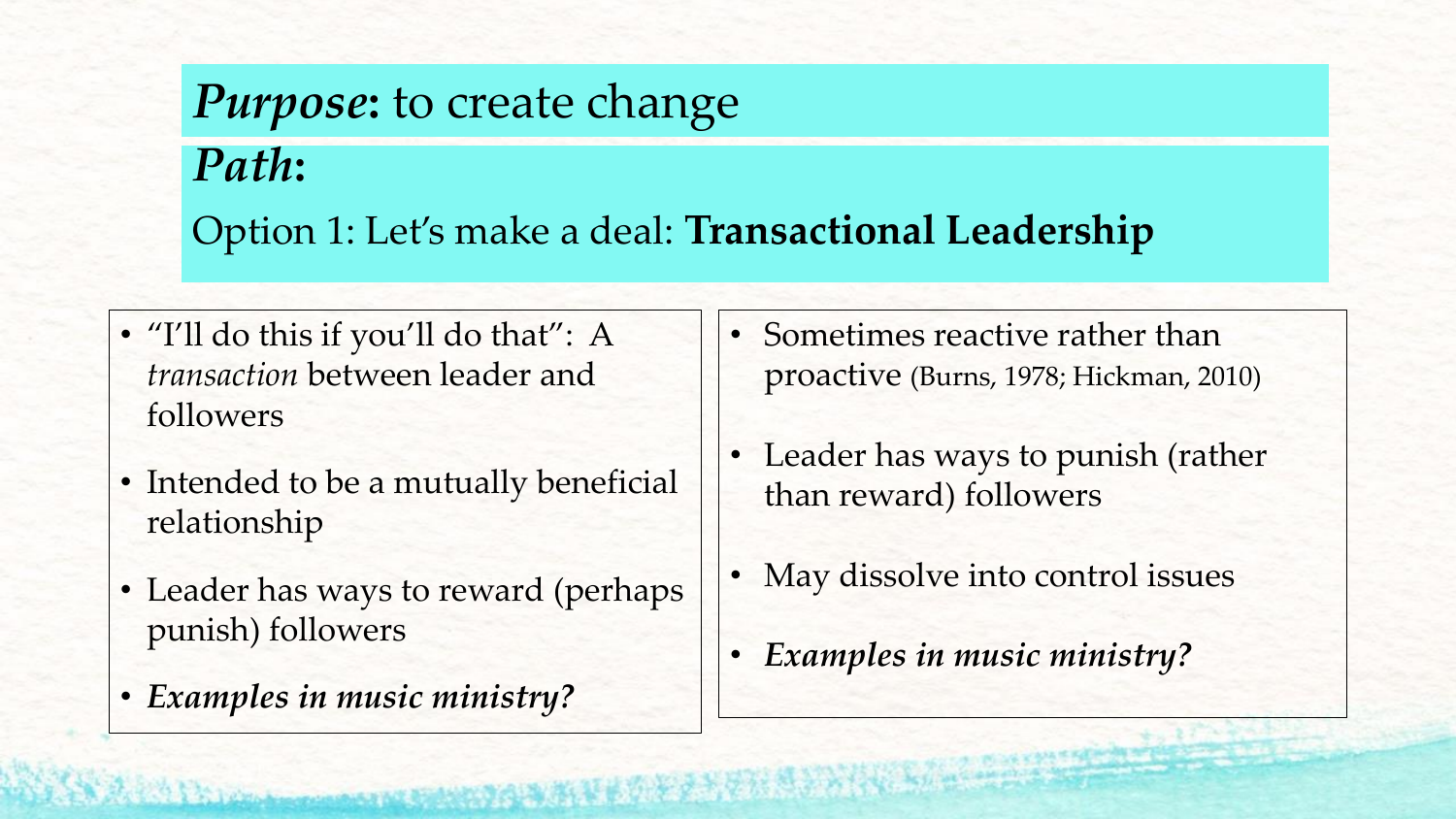# *Purpose***:** to create change *Path***:**  Option 1: Let's make a deal: **Transactional Leadership**

- "I'll do this if you'll do that": A *transaction* between leader and followers
- Intended to be a mutually beneficial relationship
- Leader has ways to reward (perhaps punish) followers
- *Examples in music ministry?*
- Sometimes reactive rather than proactive (Burns, 1978; Hickman, 2010)
- Leader has ways to punish (rather than reward) followers
- May dissolve into control issues
- *Examples in music ministry?*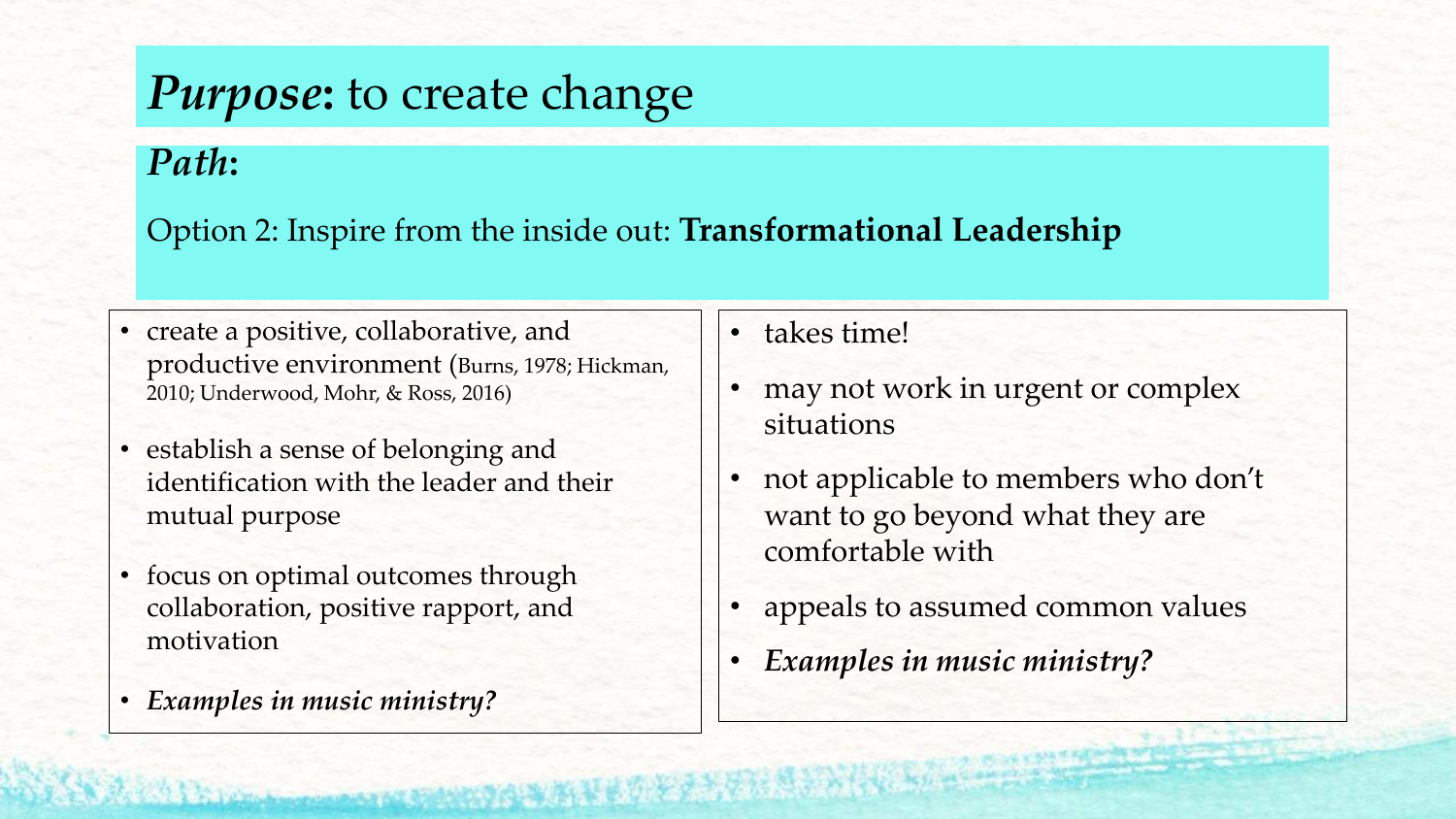#### *Purpose***:** to create change

*Path***:** 

Option 2: Inspire from the inside out: **Transformational Leadership**

- create a positive, collaborative, and productive environment (Burns, 1978; Hickman, 2010; Underwood, Mohr, & Ross, 2016)
- establish a sense of belonging and identification with the leader and their mutual purpose
- focus on optimal outcomes through collaboration, positive rapport, and motivation
- *Examples in music ministry?*

• takes time!

- may not work in urgent or complex situations
- not applicable to members who don't want to go beyond what they are comfortable with
- appeals to assumed common values
- *Examples in music ministry?*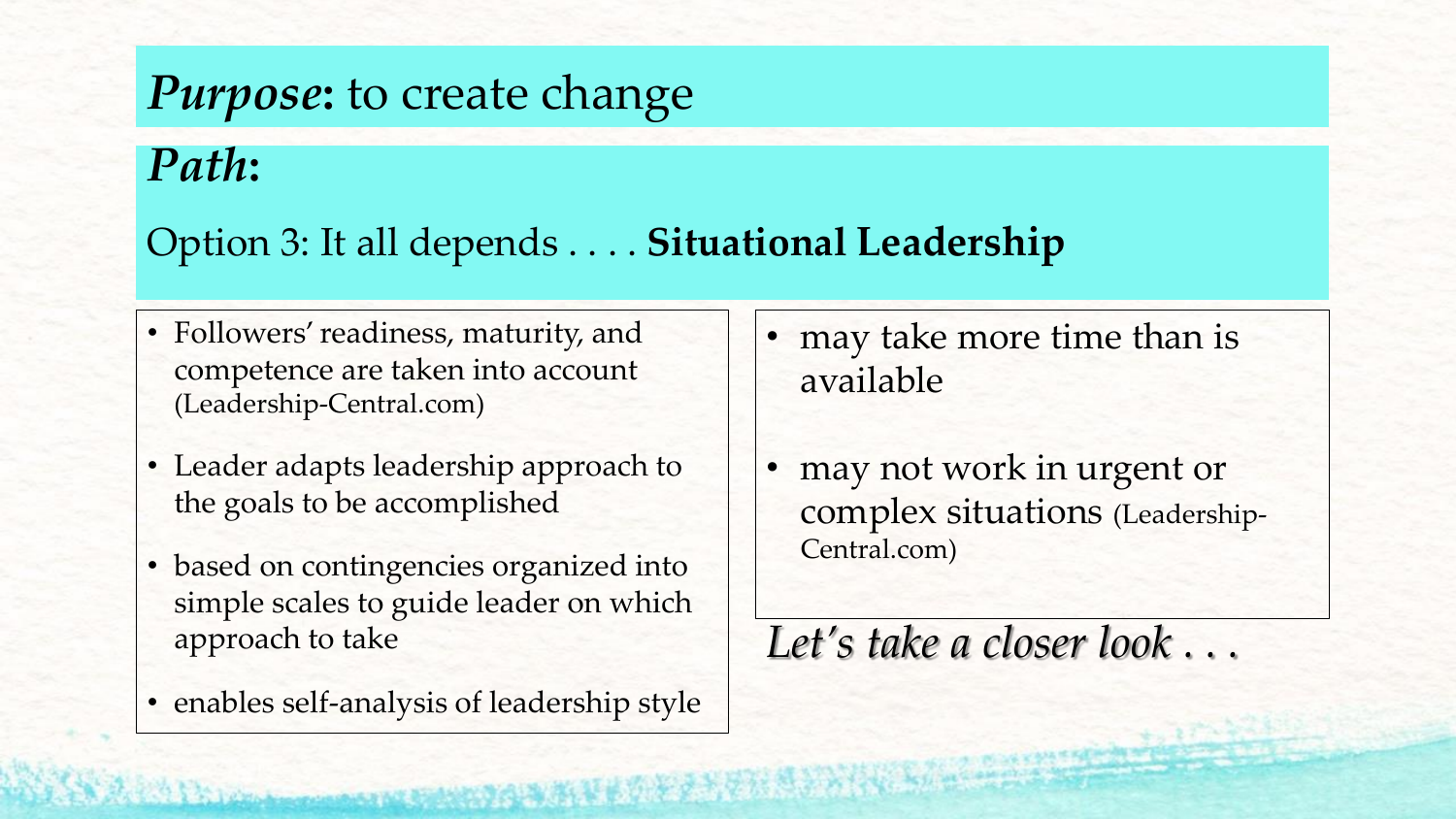## *Purpose***:** to create change

#### *Path***:**

#### Option 3: It all depends . . . . **Situational Leadership**

- Followers' readiness, maturity, and competence are taken into account (Leadership-Central.com)
- Leader adapts leadership approach to the goals to be accomplished
- based on contingencies organized into simple scales to guide leader on which approach to take
- enables self-analysis of leadership style
- may take more time than is available
- may not work in urgent or complex situations (Leadership-Central.com)

#### *Let's take a closer look . . .*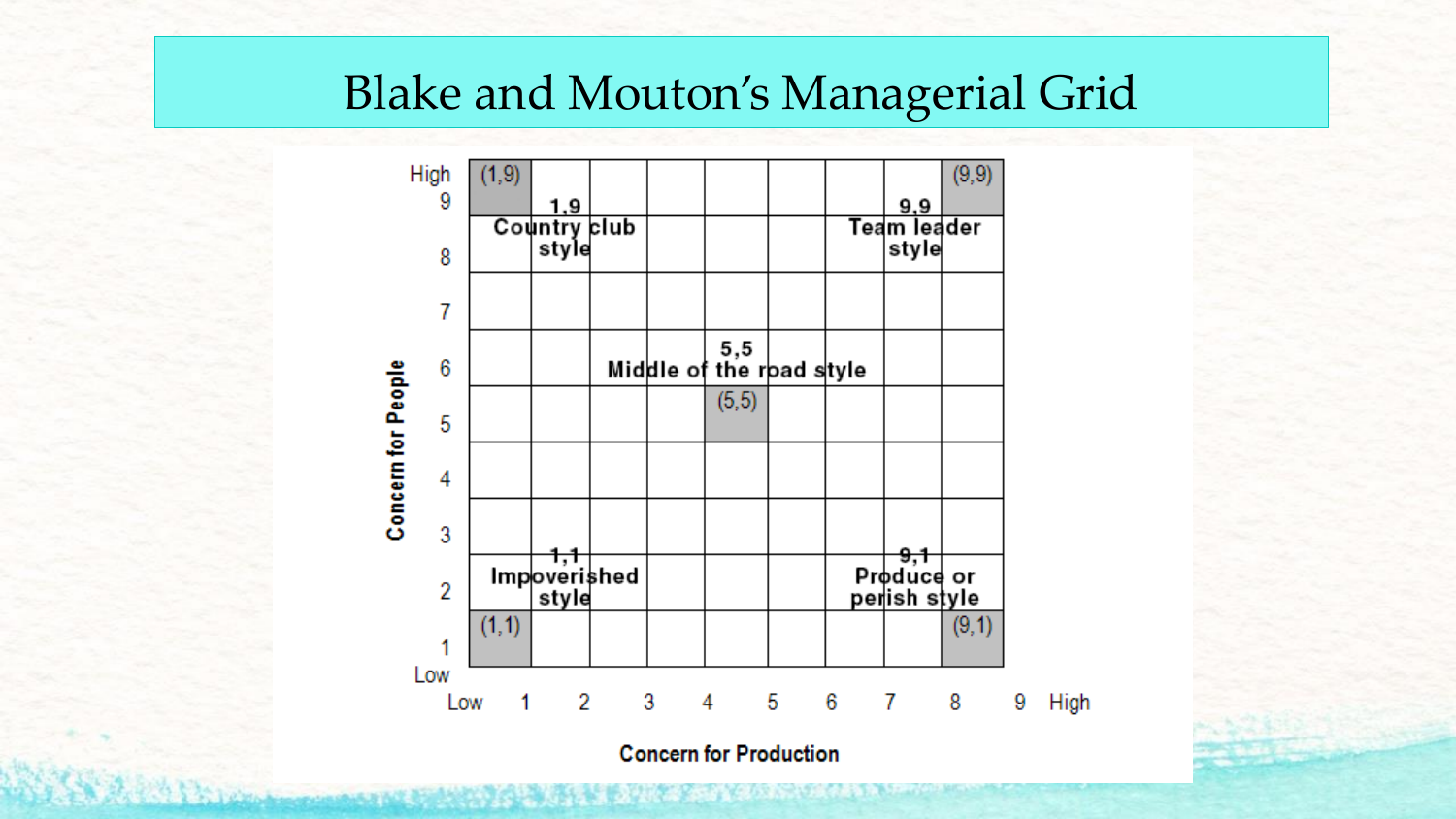#### Blake and Mouton's Managerial Grid



**Concern for Production**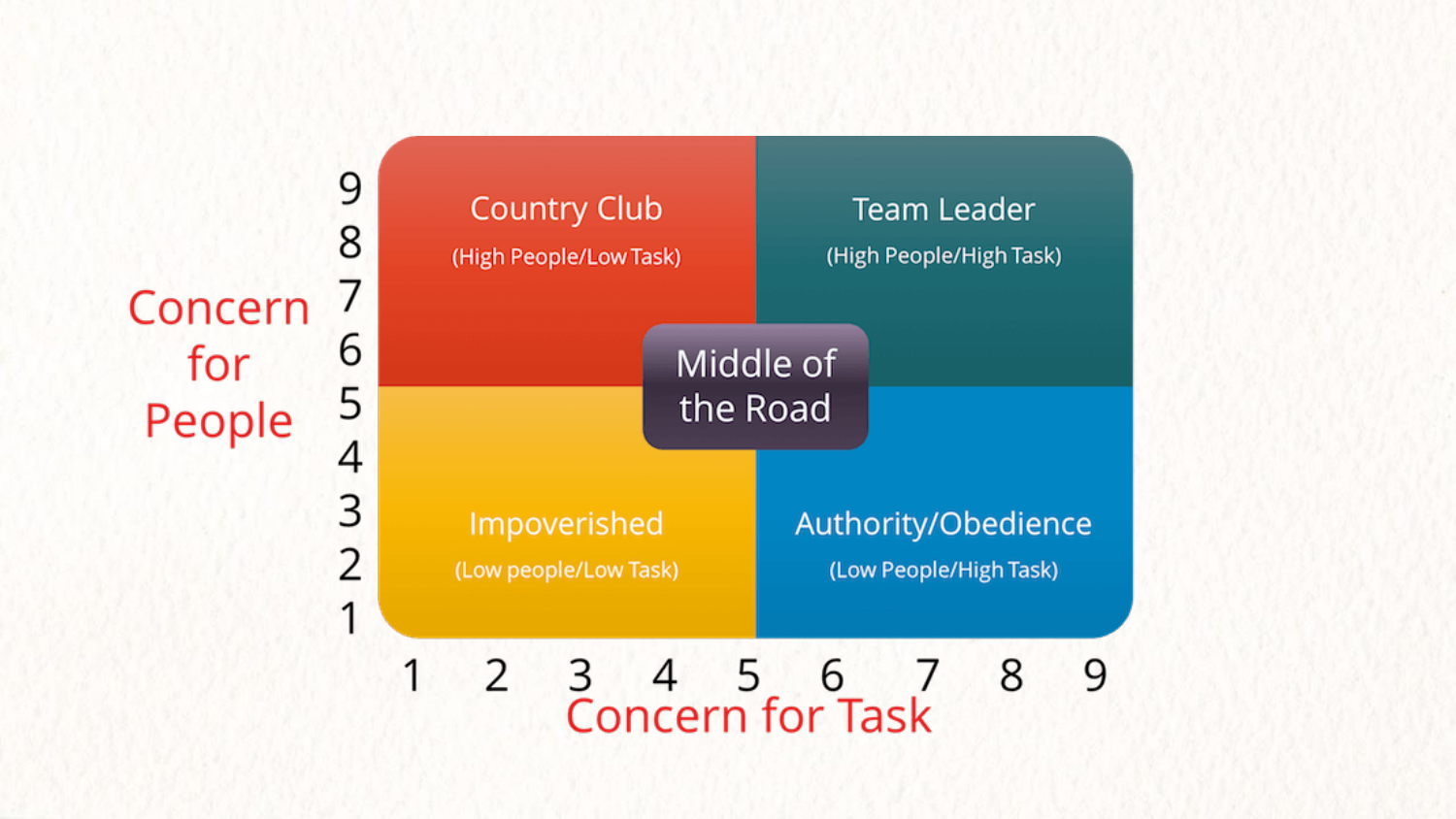Concern for People

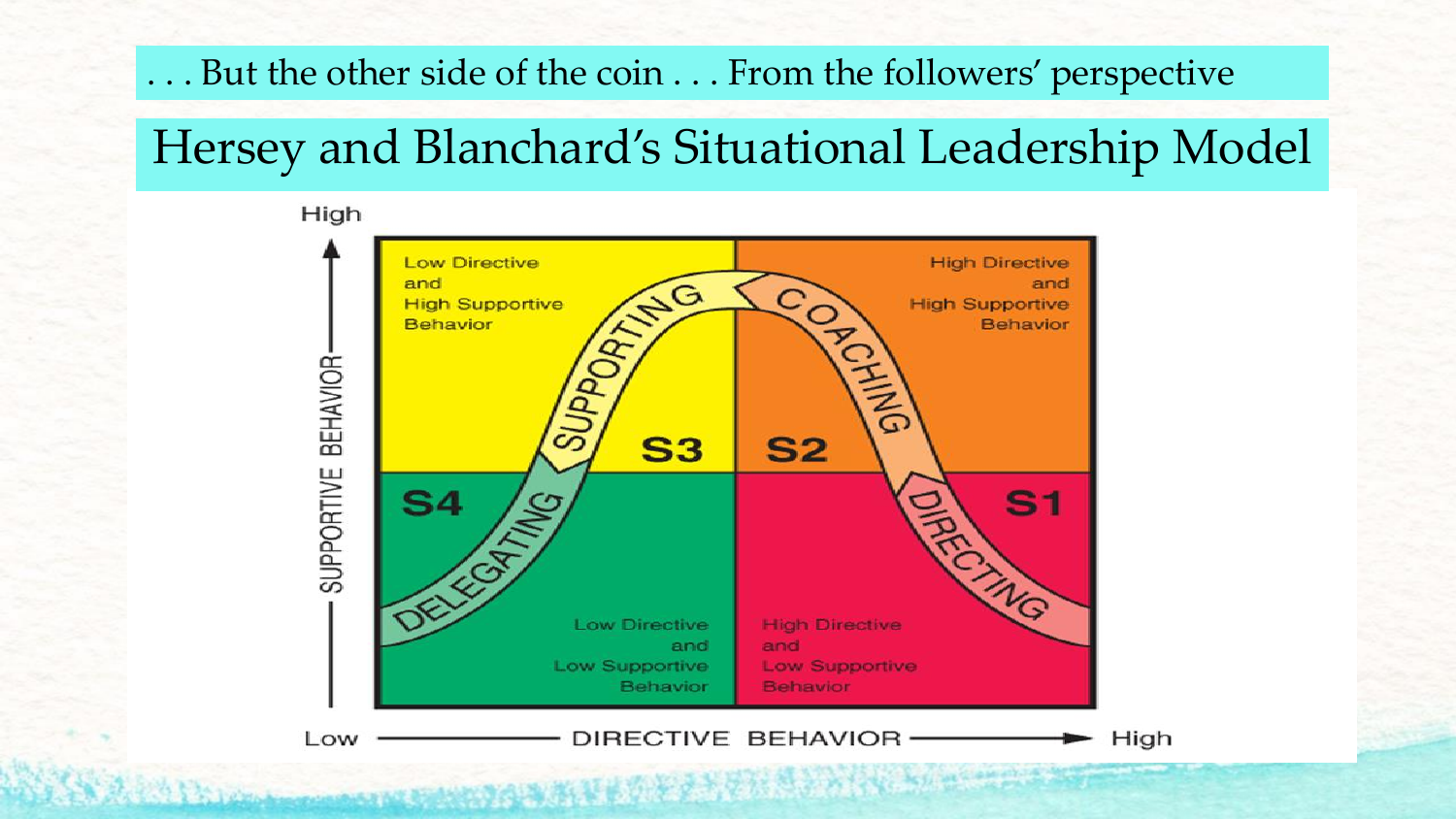#### . . . But the other side of the coin . . . From the followers' perspective

## Hersey and Blanchard's Situational Leadership Model

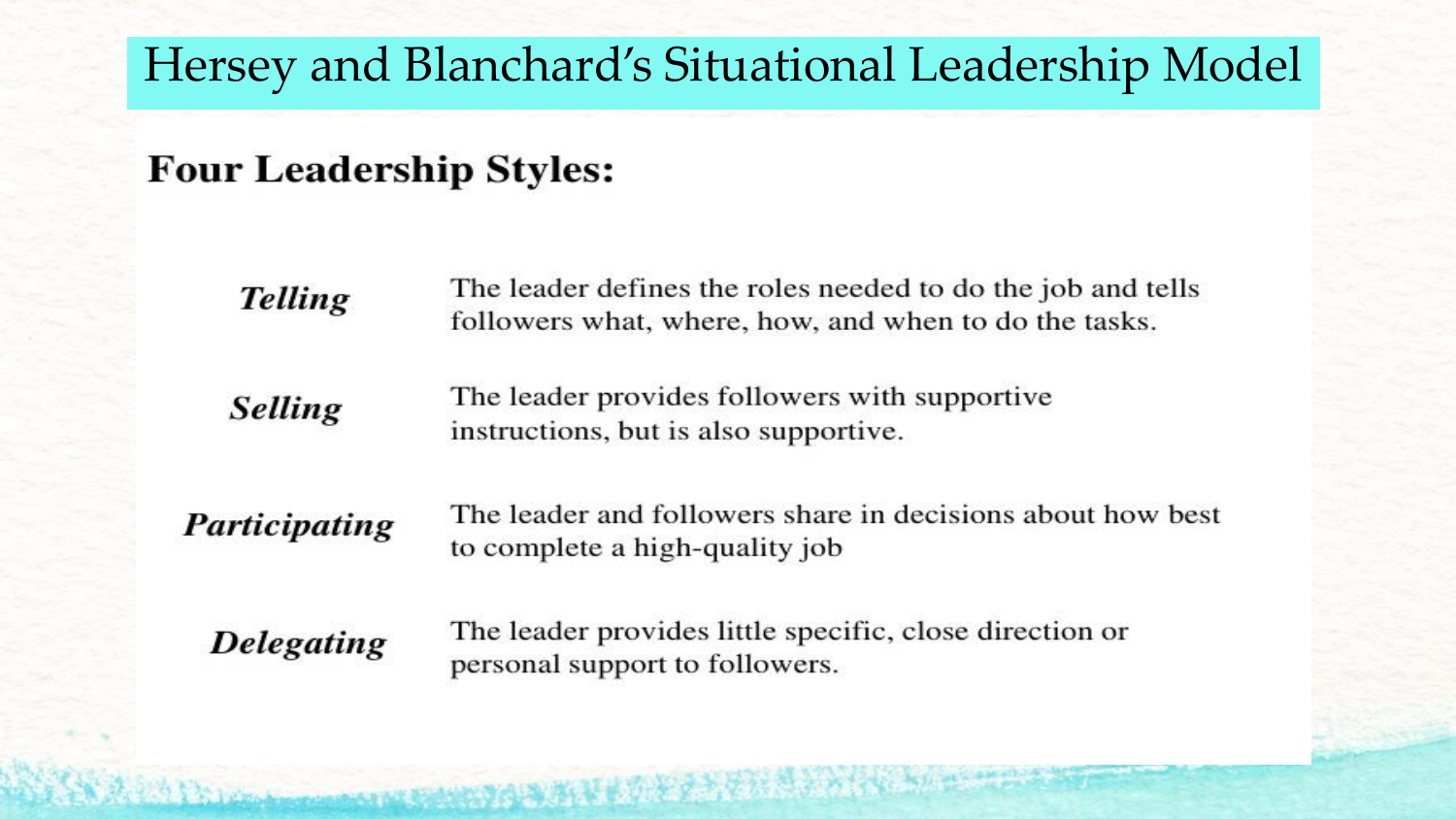#### Hersey and Blanchard's Situational Leadership Model

#### **Four Leadership Styles:**

| <b>Telling</b>    | The leader defines the roles needed to do the job and tells<br>followers what, where, how, and when to do the tasks. |  |  |
|-------------------|----------------------------------------------------------------------------------------------------------------------|--|--|
| <b>Selling</b>    | The leader provides followers with supportive<br>instructions, but is also supportive.                               |  |  |
| Participating     | The leader and followers share in decisions about how best<br>to complete a high-quality job                         |  |  |
| <b>Delegating</b> | The leader provides little specific, close direction or<br>personal support to followers.                            |  |  |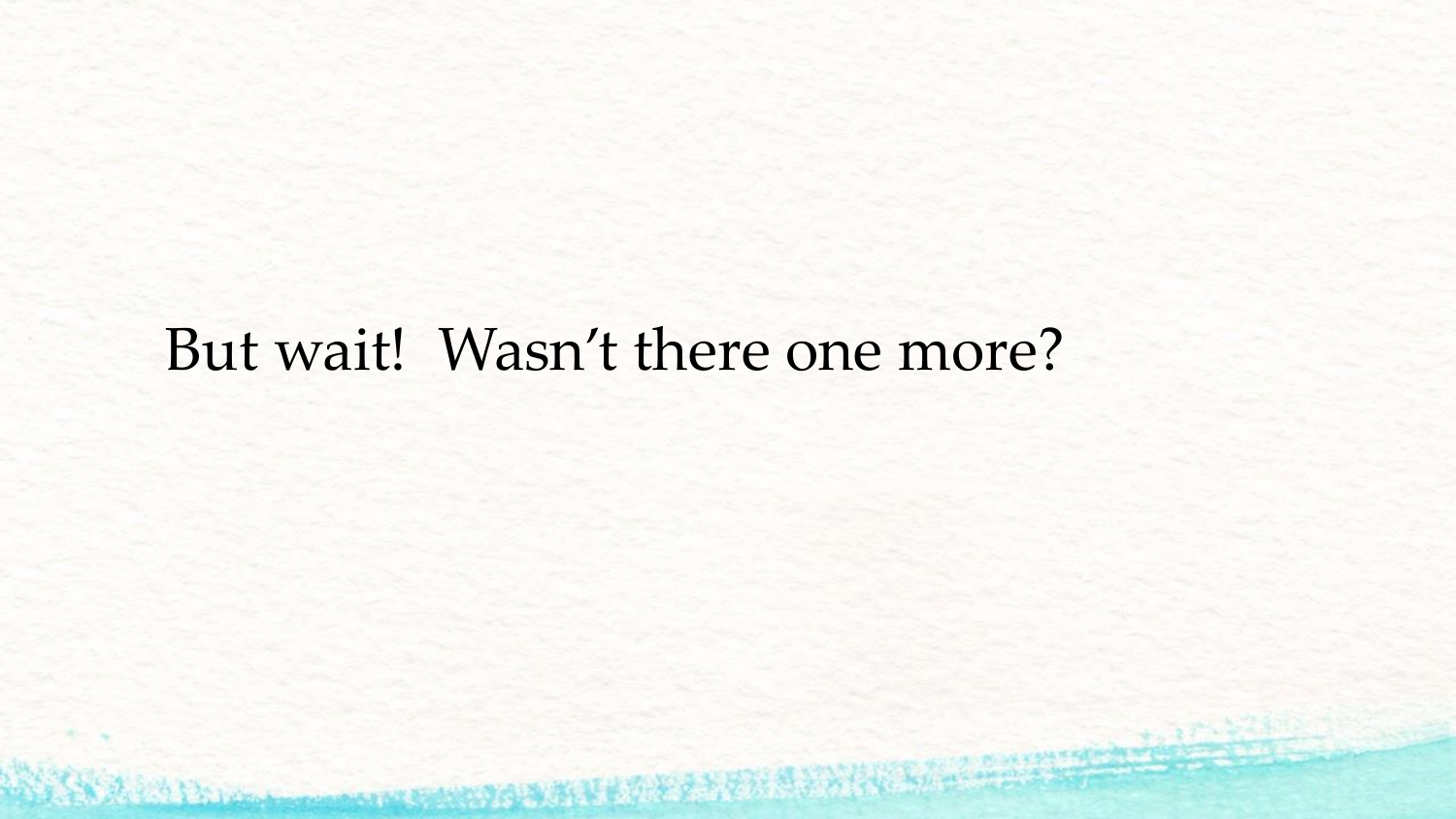# But wait! Wasn't there one more?

Standing to manufacture of the standing the standard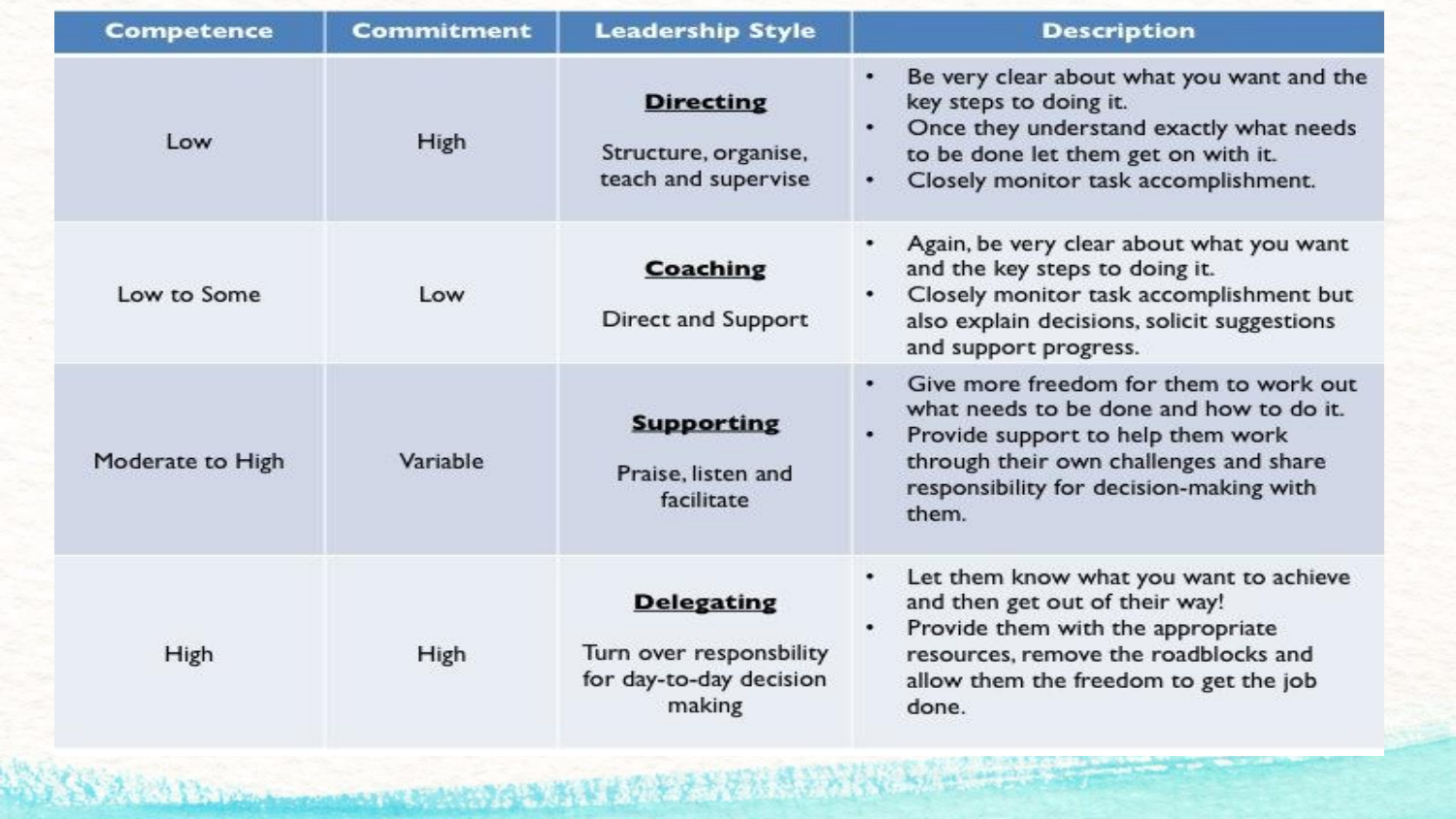| <b>Competence</b> | Commitment | <b>Leadership Style</b>                                                           | <b>Description</b>                                                                                                                                                                                                             |
|-------------------|------------|-----------------------------------------------------------------------------------|--------------------------------------------------------------------------------------------------------------------------------------------------------------------------------------------------------------------------------|
| Low               | High       | <b>Directing</b><br>Structure, organise,<br>teach and supervise                   | Be very clear about what you want and the<br>key steps to doing it.<br>Once they understand exactly what needs<br>to be done let them get on with it.<br>Closely monitor task accomplishment.<br>٠                             |
| Low to Some       | Low        | <b>Coaching</b><br><b>Direct and Support</b>                                      | Again, be very clear about what you want<br>and the key steps to doing it.<br>Closely monitor task accomplishment but<br>also explain decisions, solicit suggestions<br>and support progress.                                  |
| Moderate to High  | Variable   | <b>Supporting</b><br>Praise, listen and<br>facilitate                             | Give more freedom for them to work out<br>٠<br>what needs to be done and how to do it.<br>Provide support to help them work<br>٠<br>through their own challenges and share<br>responsibility for decision-making with<br>them. |
| High              | High       | <b>Delegating</b><br>Turn over responsbility<br>for day-to-day decision<br>making | Let them know what you want to achieve<br>and then get out of their way!<br>Provide them with the appropriate<br>$\bullet$<br>resources, remove the roadblocks and<br>allow them the freedom to get the job<br>done.           |

SARADIO DE COMEDIO ANCE DE ESTRE CONTRA LOS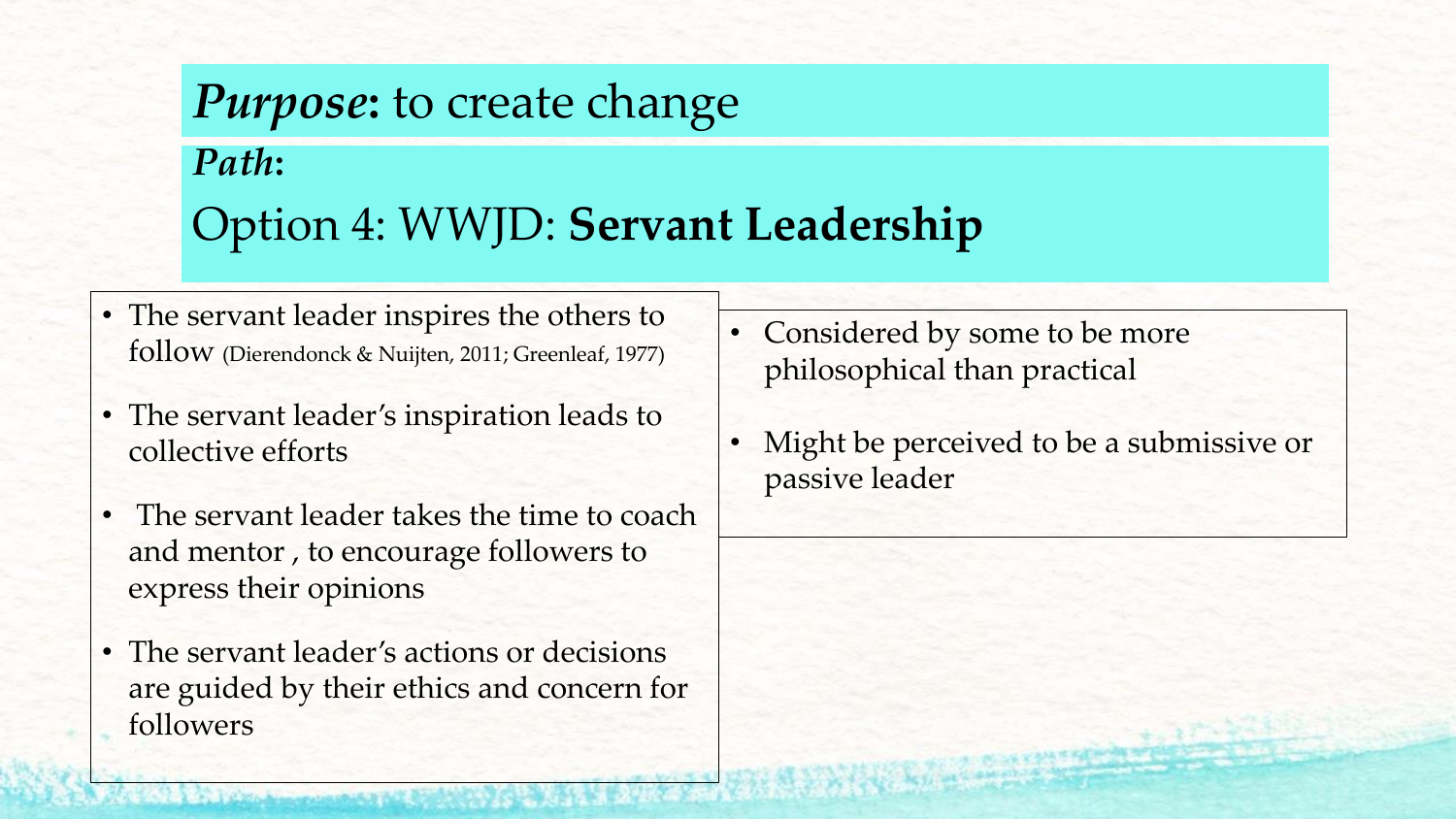## *Purpose***:** to create change *Path***:**  Option 4: WWJD: **Servant Leadership**

- The servant leader inspires the others to follow (Dierendonck & Nuijten, 2011; Greenleaf, 1977)
- The servant leader's inspiration leads to collective efforts
- The servant leader takes the time to coach and mentor , to encourage followers to express their opinions
- The servant leader's actions or decisions are guided by their ethics and concern for followers
- Considered by some to be more philosophical than practical
- Might be perceived to be a submissive or passive leader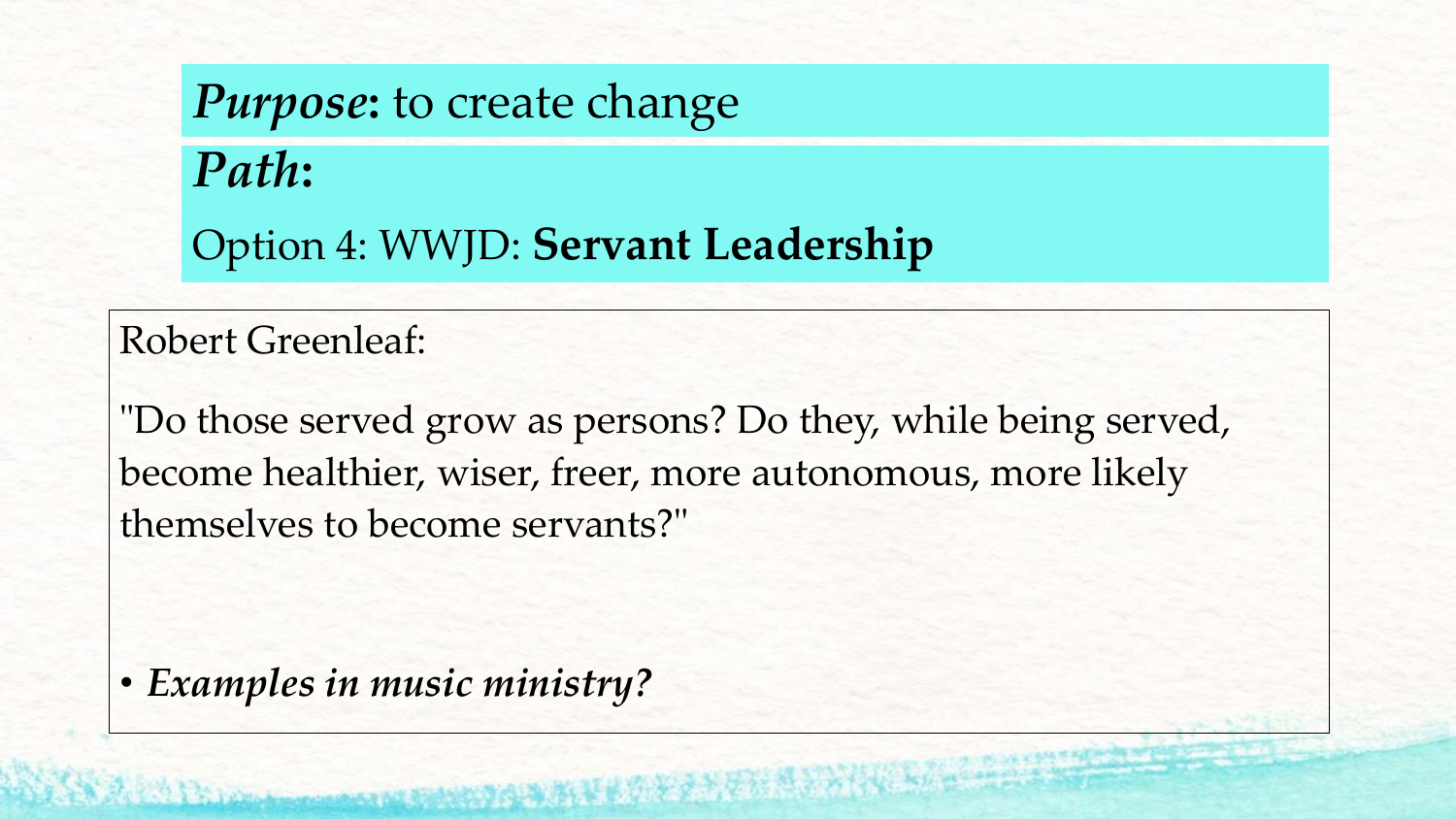# *Purpose***:** to create change *Path***:**  Option 4: WWJD: **Servant Leadership**

#### Robert Greenleaf:

"Do those served grow as persons? Do they, while being served, become healthier, wiser, freer, more autonomous, more likely themselves to become servants?"

• *Examples in music ministry?*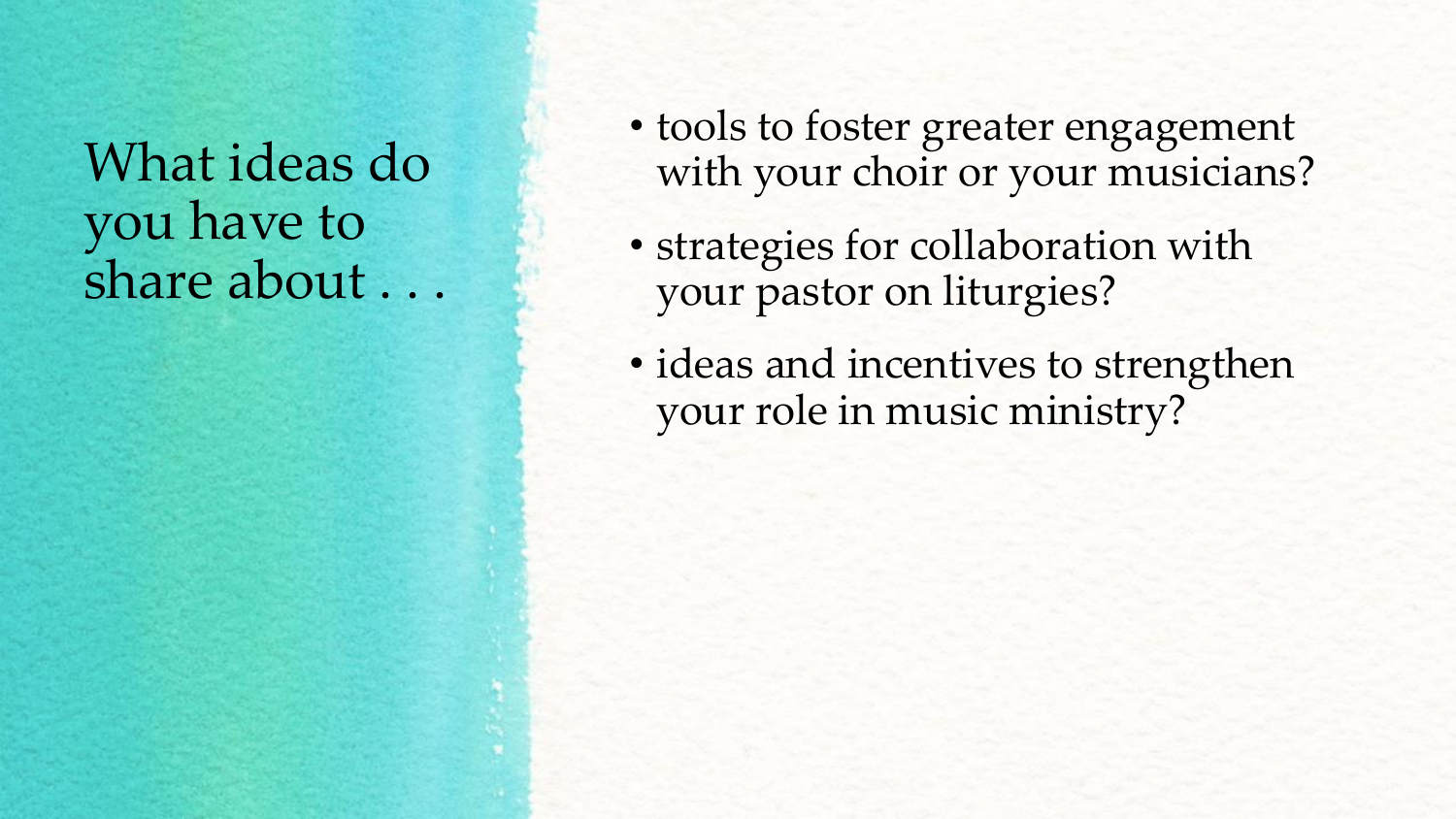## What ideas do you have to share about...

- tools to foster greater engagement with your choir or your musicians?
- strategies for collaboration with your pastor on liturgies?
- ideas and incentives to strengthen your role in music ministry?